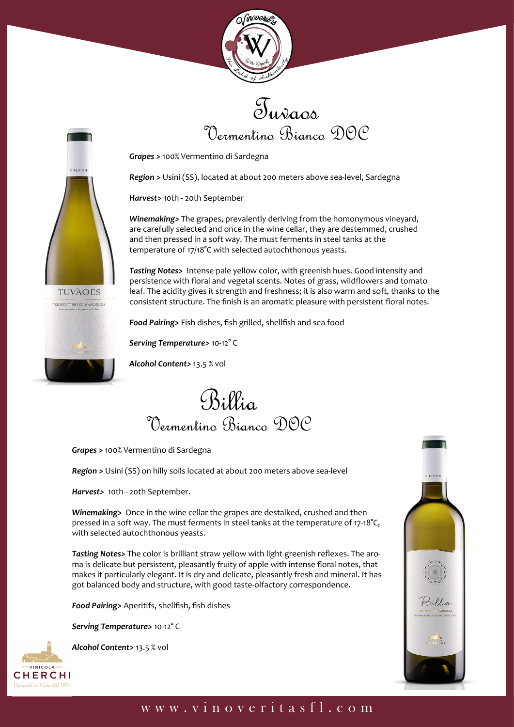



*Grapes >* 100% Vermentino di Sardegna

*Region >* Usini (SS), located at about 200 meters above sea-level, Sardegna

*Harvest>* 10th - 20th September

CHERCH

**TUVAOES VERMENTINO DI SARDEGNA**  *Winemaking>* The grapes, prevalently deriving from the homonymous vineyard, are carefully selected and once in the wine cellar, they are destemmed, crushed and then pressed in a soft way. The must ferments in steel tanks at the temperature of 17/18°C with selected autochthonous yeasts.

*Tasting Notes>* Intense pale yellow color, with greenish hues. Good intensity and persistence with floral and vegetal scents. Notes of grass, wildflowers and tomato leaf. The acidity gives it strength and freshness; it is also warm and soft, thanks to the consistent structure. The finish is an aromatic pleasure with persistent floral notes.

*Food Pairing>* Fish dishes, fish grilled, shellfish and sea food

*Serving Temperature>* 10-12° C

*Alcohol Content>* 13.5 % vol

Billia Vermentino Bianco DOC

*Grapes >* 100% Vermentino di Sardegna

*Region >* Usini (SS) on hilly soils located at about 200 meters above sea-level

*Harvest>* 10th - 20th September.

*Winemaking>* Once in the wine cellar the grapes are destalked, crushed and then pressed in a soft way. The must ferments in steel tanks at the temperature of 17-18°C, with selected autochthonous yeasts.

*Tasting Notes>* The color is brilliant straw yellow with light greenish reflexes. The aroma is delicate but persistent, pleasantly fruity of apple with intense floral notes, that makes it particularly elegant. It is dry and delicate, pleasantly fresh and mineral. It has got balanced body and structure, with good taste-olfactory correspondence.

*Food Pairing>* Aperitifs, shellfish, fish dishes

*Serving Temperature>* 10-12° C



*Alcohol Content>* 13.5 % vol



## www.vinoveritasfl.com